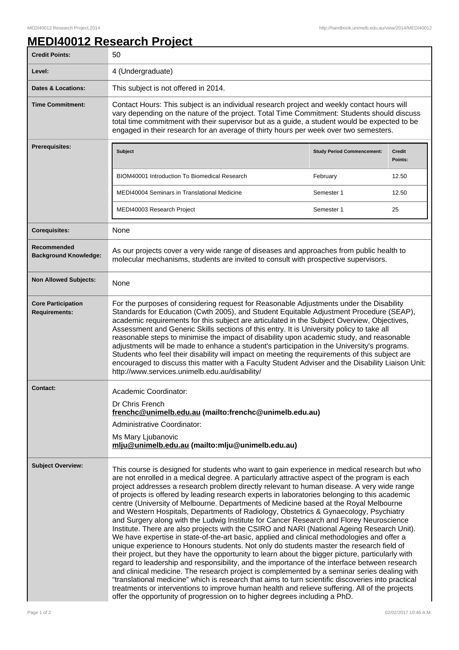## **MEDI40012 Research Project**

| <b>Credit Points:</b>                             | 50                                                                                                                                                                                                                                                                                                                                                                                                                                                                                                                                                                                                                                                                                                                                                                                                                                                                                                                                                                                                                                                                                                                                                                                                                                                                                                                                                                                                                                                                                                                                                              |                                   |                          |
|---------------------------------------------------|-----------------------------------------------------------------------------------------------------------------------------------------------------------------------------------------------------------------------------------------------------------------------------------------------------------------------------------------------------------------------------------------------------------------------------------------------------------------------------------------------------------------------------------------------------------------------------------------------------------------------------------------------------------------------------------------------------------------------------------------------------------------------------------------------------------------------------------------------------------------------------------------------------------------------------------------------------------------------------------------------------------------------------------------------------------------------------------------------------------------------------------------------------------------------------------------------------------------------------------------------------------------------------------------------------------------------------------------------------------------------------------------------------------------------------------------------------------------------------------------------------------------------------------------------------------------|-----------------------------------|--------------------------|
| Level:                                            | 4 (Undergraduate)                                                                                                                                                                                                                                                                                                                                                                                                                                                                                                                                                                                                                                                                                                                                                                                                                                                                                                                                                                                                                                                                                                                                                                                                                                                                                                                                                                                                                                                                                                                                               |                                   |                          |
| <b>Dates &amp; Locations:</b>                     | This subject is not offered in 2014.                                                                                                                                                                                                                                                                                                                                                                                                                                                                                                                                                                                                                                                                                                                                                                                                                                                                                                                                                                                                                                                                                                                                                                                                                                                                                                                                                                                                                                                                                                                            |                                   |                          |
| <b>Time Commitment:</b>                           | Contact Hours: This subject is an individual research project and weekly contact hours will<br>vary depending on the nature of the project. Total Time Commitment: Students should discuss<br>total time commitment with their supervisor but as a guide, a student would be expected to be<br>engaged in their research for an average of thirty hours per week over two semesters.                                                                                                                                                                                                                                                                                                                                                                                                                                                                                                                                                                                                                                                                                                                                                                                                                                                                                                                                                                                                                                                                                                                                                                            |                                   |                          |
| Prerequisites:                                    | <b>Subject</b>                                                                                                                                                                                                                                                                                                                                                                                                                                                                                                                                                                                                                                                                                                                                                                                                                                                                                                                                                                                                                                                                                                                                                                                                                                                                                                                                                                                                                                                                                                                                                  | <b>Study Period Commencement:</b> | <b>Credit</b><br>Points: |
|                                                   | <b>BIOM40001 Introduction To Biomedical Research</b>                                                                                                                                                                                                                                                                                                                                                                                                                                                                                                                                                                                                                                                                                                                                                                                                                                                                                                                                                                                                                                                                                                                                                                                                                                                                                                                                                                                                                                                                                                            | February                          | 12.50                    |
|                                                   | MEDI40004 Seminars in Translational Medicine                                                                                                                                                                                                                                                                                                                                                                                                                                                                                                                                                                                                                                                                                                                                                                                                                                                                                                                                                                                                                                                                                                                                                                                                                                                                                                                                                                                                                                                                                                                    | Semester 1                        | 12.50                    |
|                                                   | MEDI40003 Research Project                                                                                                                                                                                                                                                                                                                                                                                                                                                                                                                                                                                                                                                                                                                                                                                                                                                                                                                                                                                                                                                                                                                                                                                                                                                                                                                                                                                                                                                                                                                                      | Semester 1                        | 25                       |
| <b>Corequisites:</b>                              | None                                                                                                                                                                                                                                                                                                                                                                                                                                                                                                                                                                                                                                                                                                                                                                                                                                                                                                                                                                                                                                                                                                                                                                                                                                                                                                                                                                                                                                                                                                                                                            |                                   |                          |
| Recommended<br><b>Background Knowledge:</b>       | As our projects cover a very wide range of diseases and approaches from public health to<br>molecular mechanisms, students are invited to consult with prospective supervisors.                                                                                                                                                                                                                                                                                                                                                                                                                                                                                                                                                                                                                                                                                                                                                                                                                                                                                                                                                                                                                                                                                                                                                                                                                                                                                                                                                                                 |                                   |                          |
| <b>Non Allowed Subjects:</b>                      | None                                                                                                                                                                                                                                                                                                                                                                                                                                                                                                                                                                                                                                                                                                                                                                                                                                                                                                                                                                                                                                                                                                                                                                                                                                                                                                                                                                                                                                                                                                                                                            |                                   |                          |
| <b>Core Participation</b><br><b>Requirements:</b> | For the purposes of considering request for Reasonable Adjustments under the Disability<br>Standards for Education (Cwth 2005), and Student Equitable Adjustment Procedure (SEAP),<br>academic requirements for this subject are articulated in the Subject Overview, Objectives,<br>Assessment and Generic Skills sections of this entry. It is University policy to take all<br>reasonable steps to minimise the impact of disability upon academic study, and reasonable<br>adjustments will be made to enhance a student's participation in the University's programs.<br>Students who feel their disability will impact on meeting the requirements of this subject are<br>encouraged to discuss this matter with a Faculty Student Adviser and the Disability Liaison Unit:<br>http://www.services.unimelb.edu.au/disability/                                                                                                                                                                                                                                                                                                                                                                                                                                                                                                                                                                                                                                                                                                                             |                                   |                          |
| <b>Contact:</b>                                   | Academic Coordinator:<br>Dr Chris French<br>frenchc@unimelb.edu.au (mailto:frenchc@unimelb.edu.au)<br>Administrative Coordinator:<br>Ms Mary Ljubanovic<br>mlju@unimelb.edu.au (mailto:mlju@unimelb.edu.au)                                                                                                                                                                                                                                                                                                                                                                                                                                                                                                                                                                                                                                                                                                                                                                                                                                                                                                                                                                                                                                                                                                                                                                                                                                                                                                                                                     |                                   |                          |
| <b>Subject Overview:</b>                          | This course is designed for students who want to gain experience in medical research but who<br>are not enrolled in a medical degree. A particularly attractive aspect of the program is each<br>project addresses a research problem directly relevant to human disease. A very wide range<br>of projects is offered by leading research experts in laboratories belonging to this academic<br>centre (University of Melbourne. Departments of Medicine based at the Royal Melbourne<br>and Western Hospitals, Departments of Radiology, Obstetrics & Gynaecology, Psychiatry<br>and Surgery along with the Ludwig Institute for Cancer Research and Florey Neuroscience<br>Institute. There are also projects with the CSIRO and NARI (National Ageing Research Unit).<br>We have expertise in state-of-the-art basic, applied and clinical methodologies and offer a<br>unique experience to Honours students. Not only do students master the research field of<br>their project, but they have the opportunity to learn about the bigger picture, particularly with<br>regard to leadership and responsibility, and the importance of the interface between research<br>and clinical medicine. The research project is complemented by a seminar series dealing with<br>"translational medicine" which is research that aims to turn scientific discoveries into practical<br>treatments or interventions to improve human health and relieve suffering. All of the projects<br>offer the opportunity of progression on to higher degrees including a PhD. |                                   |                          |